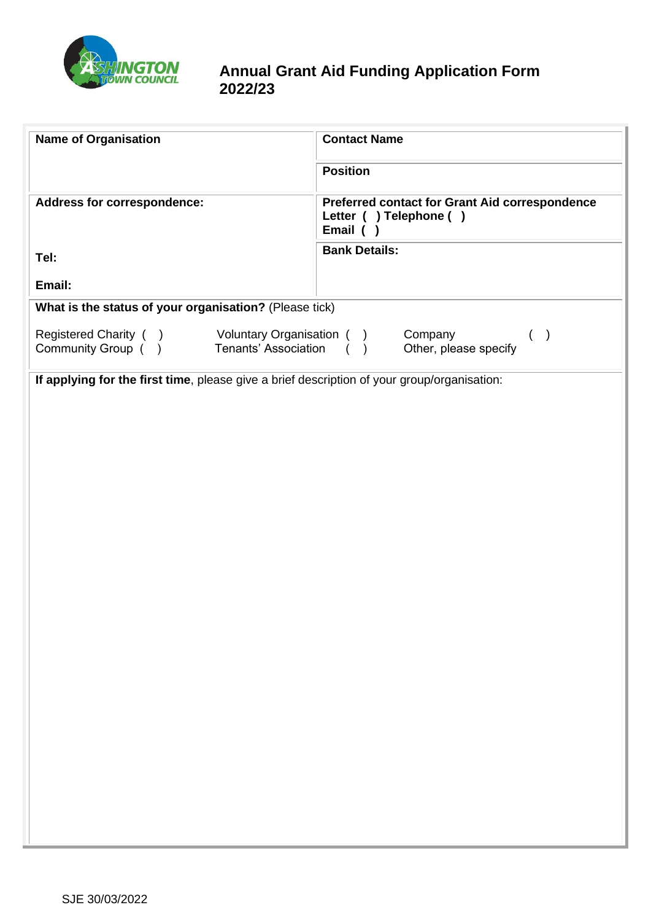

# **Annual Grant Aid Funding Application Form 2022/23**

| <b>Name of Organisation</b>                                                                     | <b>Contact Name</b>                                                                           |  |
|-------------------------------------------------------------------------------------------------|-----------------------------------------------------------------------------------------------|--|
|                                                                                                 | <b>Position</b>                                                                               |  |
| Address for correspondence:                                                                     | <b>Preferred contact for Grant Aid correspondence</b><br>Letter ( ) Telephone ( )<br>Email () |  |
| Tel:                                                                                            | <b>Bank Details:</b>                                                                          |  |
| Email:                                                                                          |                                                                                               |  |
| What is the status of your organisation? (Please tick)                                          |                                                                                               |  |
| Registered Charity ( ) Voluntary Organisation ( )<br>Community Group () Tenants' Association () | Company<br>$($ )<br>Other, please specify                                                     |  |
| If applying for the first time, please give a brief description of your group/organisation:     |                                                                                               |  |
|                                                                                                 |                                                                                               |  |
|                                                                                                 |                                                                                               |  |
|                                                                                                 |                                                                                               |  |
|                                                                                                 |                                                                                               |  |
|                                                                                                 |                                                                                               |  |
|                                                                                                 |                                                                                               |  |
|                                                                                                 |                                                                                               |  |
|                                                                                                 |                                                                                               |  |
|                                                                                                 |                                                                                               |  |
|                                                                                                 |                                                                                               |  |
|                                                                                                 |                                                                                               |  |
|                                                                                                 |                                                                                               |  |
|                                                                                                 |                                                                                               |  |
|                                                                                                 |                                                                                               |  |
|                                                                                                 |                                                                                               |  |
|                                                                                                 |                                                                                               |  |
|                                                                                                 |                                                                                               |  |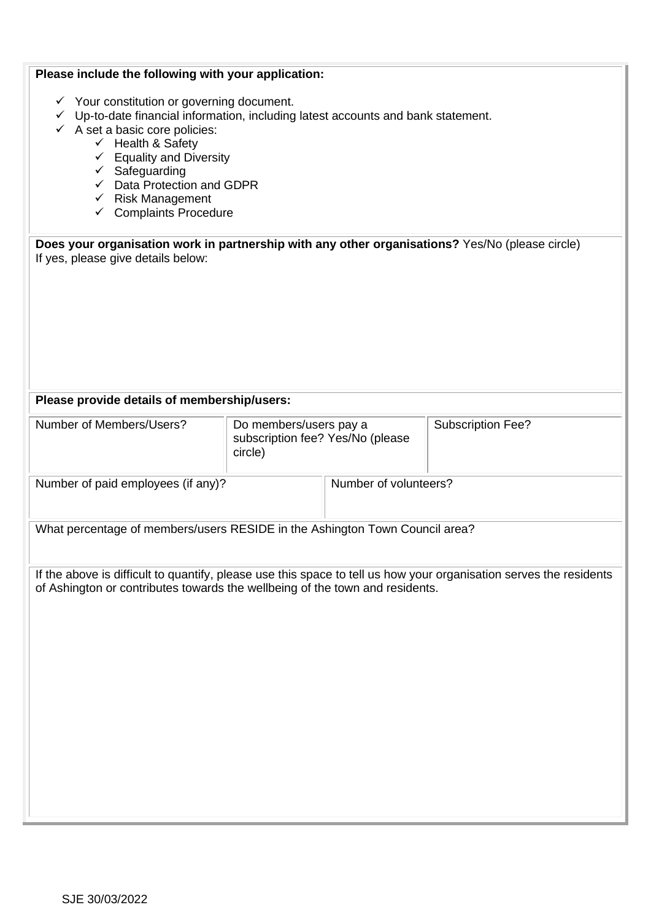| Please include the following with your application:                                                                                                                                                                                                                                                                                                                                                                  |                                                                       |                       |                          |
|----------------------------------------------------------------------------------------------------------------------------------------------------------------------------------------------------------------------------------------------------------------------------------------------------------------------------------------------------------------------------------------------------------------------|-----------------------------------------------------------------------|-----------------------|--------------------------|
| $\checkmark$ Your constitution or governing document.<br>$\checkmark$ Up-to-date financial information, including latest accounts and bank statement.<br>$\checkmark$ A set a basic core policies:<br>$\checkmark$ Health & Safety<br>$\checkmark$ Equality and Diversity<br>$\checkmark$ Safeguarding<br>$\checkmark$ Data Protection and GDPR<br>$\checkmark$ Risk Management<br>$\checkmark$ Complaints Procedure |                                                                       |                       |                          |
| Does your organisation work in partnership with any other organisations? Yes/No (please circle)<br>If yes, please give details below:                                                                                                                                                                                                                                                                                |                                                                       |                       |                          |
|                                                                                                                                                                                                                                                                                                                                                                                                                      |                                                                       |                       |                          |
|                                                                                                                                                                                                                                                                                                                                                                                                                      |                                                                       |                       |                          |
|                                                                                                                                                                                                                                                                                                                                                                                                                      |                                                                       |                       |                          |
|                                                                                                                                                                                                                                                                                                                                                                                                                      |                                                                       |                       |                          |
|                                                                                                                                                                                                                                                                                                                                                                                                                      |                                                                       |                       |                          |
| Please provide details of membership/users:                                                                                                                                                                                                                                                                                                                                                                          |                                                                       |                       |                          |
| Number of Members/Users?                                                                                                                                                                                                                                                                                                                                                                                             | Do members/users pay a<br>subscription fee? Yes/No (please<br>circle) |                       | <b>Subscription Fee?</b> |
| Number of paid employees (if any)?                                                                                                                                                                                                                                                                                                                                                                                   |                                                                       | Number of volunteers? |                          |
| What percentage of members/users RESIDE in the Ashington Town Council area?                                                                                                                                                                                                                                                                                                                                          |                                                                       |                       |                          |
| If the above is difficult to quantify, please use this space to tell us how your organisation serves the residents<br>of Ashington or contributes towards the wellbeing of the town and residents.                                                                                                                                                                                                                   |                                                                       |                       |                          |
|                                                                                                                                                                                                                                                                                                                                                                                                                      |                                                                       |                       |                          |
|                                                                                                                                                                                                                                                                                                                                                                                                                      |                                                                       |                       |                          |
|                                                                                                                                                                                                                                                                                                                                                                                                                      |                                                                       |                       |                          |
|                                                                                                                                                                                                                                                                                                                                                                                                                      |                                                                       |                       |                          |
|                                                                                                                                                                                                                                                                                                                                                                                                                      |                                                                       |                       |                          |
|                                                                                                                                                                                                                                                                                                                                                                                                                      |                                                                       |                       |                          |
|                                                                                                                                                                                                                                                                                                                                                                                                                      |                                                                       |                       |                          |
|                                                                                                                                                                                                                                                                                                                                                                                                                      |                                                                       |                       |                          |
|                                                                                                                                                                                                                                                                                                                                                                                                                      |                                                                       |                       |                          |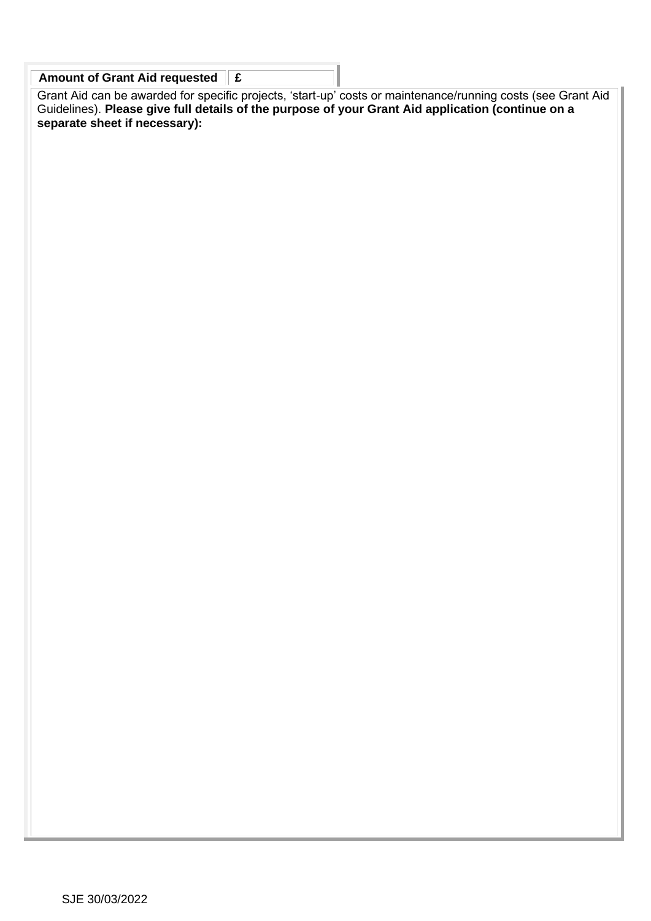| Amount of Grant Aid requested $\ \mathbf{f}\ $ |  |
|------------------------------------------------|--|
|                                                |  |

Grant Aid can be awarded for specific projects, 'start-up' costs or maintenance/running costs (see Grant Aid Guidelines). **Please give full details of the purpose of your Grant Aid application (continue on a separate sheet if necessary):**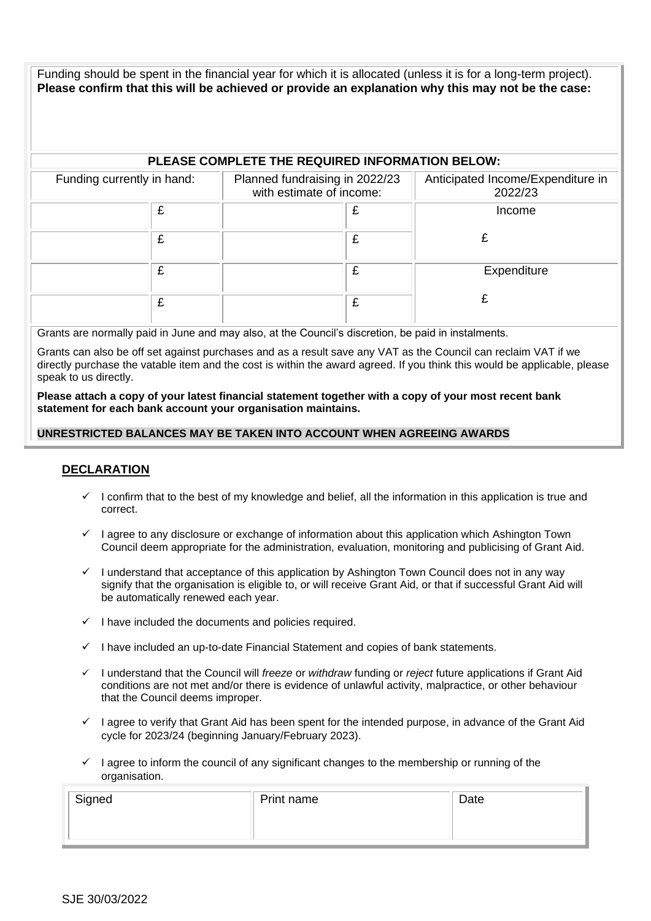Funding should be spent in the financial year for which it is allocated (unless it is for a long-term project). **Please confirm that this will be achieved or provide an explanation why this may not be the case:**

### **PLEASE COMPLETE THE REQUIRED INFORMATION BELOW:**

| Funding currently in hand: | Planned fundraising in 2022/23<br>with estimate of income: | Anticipated Income/Expenditure in<br>2022/23 |
|----------------------------|------------------------------------------------------------|----------------------------------------------|
| £                          |                                                            | Income                                       |
| £                          |                                                            |                                              |
| £                          |                                                            | Expenditure                                  |
| £                          |                                                            |                                              |

Grants are normally paid in June and may also, at the Council's discretion, be paid in instalments.

Grants can also be off set against purchases and as a result save any VAT as the Council can reclaim VAT if we directly purchase the vatable item and the cost is within the award agreed. If you think this would be applicable, please speak to us directly.

**Please attach a copy of your latest financial statement together with a copy of your most recent bank statement for each bank account your organisation maintains.**

#### **UNRESTRICTED BALANCES MAY BE TAKEN INTO ACCOUNT WHEN AGREEING AWARDS**

#### **DECLARATION**

- $\checkmark$  I confirm that to the best of my knowledge and belief, all the information in this application is true and correct.
- $\checkmark$  I agree to any disclosure or exchange of information about this application which Ashington Town Council deem appropriate for the administration, evaluation, monitoring and publicising of Grant Aid.
- $\checkmark$  I understand that acceptance of this application by Ashington Town Council does not in any way signify that the organisation is eligible to, or will receive Grant Aid, or that if successful Grant Aid will be automatically renewed each year.
- $\checkmark$  I have included the documents and policies required.
- $\checkmark$  I have included an up-to-date Financial Statement and copies of bank statements.
- ✓ I understand that the Council will *freeze* or *withdraw* funding or *reject* future applications if Grant Aid conditions are not met and/or there is evidence of unlawful activity, malpractice, or other behaviour that the Council deems improper.
- I agree to verify that Grant Aid has been spent for the intended purpose, in advance of the Grant Aid cycle for 2023/24 (beginning January/February 2023).
- $\checkmark$  I agree to inform the council of any significant changes to the membership or running of the organisation.

| Signed | Print name | Date |
|--------|------------|------|
|        |            |      |
|        |            |      |